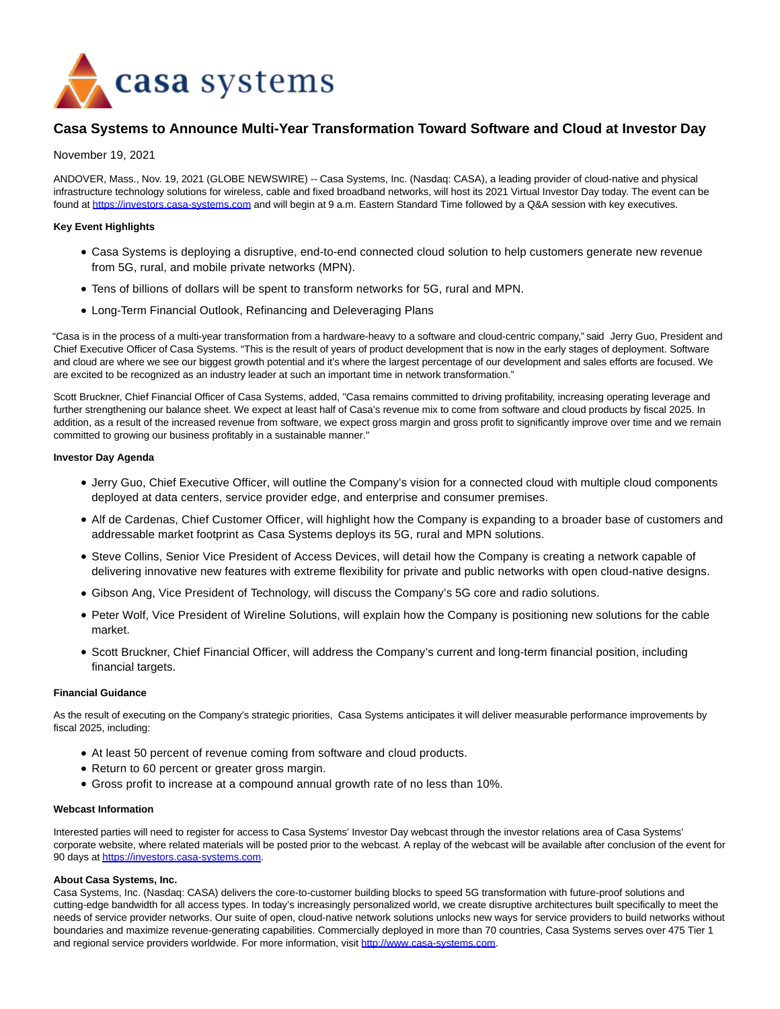

# **Casa Systems to Announce Multi-Year Transformation Toward Software and Cloud at Investor Day**

## November 19, 2021

ANDOVER, Mass., Nov. 19, 2021 (GLOBE NEWSWIRE) -- Casa Systems, Inc. (Nasdaq: CASA), a leading provider of cloud-native and physical infrastructure technology solutions for wireless, cable and fixed broadband networks, will host its 2021 Virtual Investor Day today. The event can be found at [https://investors.casa-systems.com a](https://www.globenewswire.com/Tracker?data=iroeioxDcMtoN6trPosEy6qJClPRkUz24QhnwKPXcx0tfBbE9vMozuN781dTXkae1vNMtttX88Cq9sdkpFOVYTsDfBIruqpl4MtzzvUmE1CcepV2C6NZFg97y9qaHu9I)nd will begin at 9 a.m. Eastern Standard Time followed by a Q&A session with key executives.

## **Key Event Highlights**

- Casa Systems is deploying a disruptive, end-to-end connected cloud solution to help customers generate new revenue from 5G, rural, and mobile private networks (MPN).
- Tens of billions of dollars will be spent to transform networks for 5G, rural and MPN.
- Long-Term Financial Outlook, Refinancing and Deleveraging Plans

"Casa is in the process of a multi-year transformation from a hardware-heavy to a software and cloud-centric company," said Jerry Guo, President and Chief Executive Officer of Casa Systems. "This is the result of years of product development that is now in the early stages of deployment. Software and cloud are where we see our biggest growth potential and it's where the largest percentage of our development and sales efforts are focused. We are excited to be recognized as an industry leader at such an important time in network transformation."

Scott Bruckner, Chief Financial Officer of Casa Systems, added, "Casa remains committed to driving profitability, increasing operating leverage and further strengthening our balance sheet. We expect at least half of Casa's revenue mix to come from software and cloud products by fiscal 2025. In addition, as a result of the increased revenue from software, we expect gross margin and gross profit to significantly improve over time and we remain committed to growing our business profitably in a sustainable manner."

### **Investor Day Agenda**

- Jerry Guo, Chief Executive Officer, will outline the Company's vision for a connected cloud with multiple cloud components deployed at data centers, service provider edge, and enterprise and consumer premises.
- Alf de Cardenas, Chief Customer Officer, will highlight how the Company is expanding to a broader base of customers and addressable market footprint as Casa Systems deploys its 5G, rural and MPN solutions.
- Steve Collins, Senior Vice President of Access Devices, will detail how the Company is creating a network capable of delivering innovative new features with extreme flexibility for private and public networks with open cloud-native designs.
- Gibson Ang, Vice President of Technology, will discuss the Company's 5G core and radio solutions.
- Peter Wolf, Vice President of Wireline Solutions, will explain how the Company is positioning new solutions for the cable market.
- Scott Bruckner, Chief Financial Officer, will address the Company's current and long-term financial position, including financial targets.

# **Financial Guidance**

As the result of executing on the Company's strategic priorities, Casa Systems anticipates it will deliver measurable performance improvements by fiscal 2025, including:

- At least 50 percent of revenue coming from software and cloud products.
- Return to 60 percent or greater gross margin.
- Gross profit to increase at a compound annual growth rate of no less than 10%.

#### **Webcast Information**

Interested parties will need to register for access to Casa Systems' Investor Day webcast through the investor relations area of Casa Systems' corporate website, where related materials will be posted prior to the webcast. A replay of the webcast will be available after conclusion of the event for 90 days a[t https://investors.casa-systems.com.](https://www.globenewswire.com/Tracker?data=iroeioxDcMtoN6trPosEy6qJClPRkUz24QhnwKPXcx329Y47wwp-vXepKT1_k6MBOzvg7jfbuzqyvip0fGdF9cXHtDg5PidDB65AysHH189lmsmaltClcjw0CtJgPJyq)

#### **About Casa Systems, Inc.**

Casa Systems, Inc. (Nasdaq: CASA) delivers the core-to-customer building blocks to speed 5G transformation with future-proof solutions and cutting-edge bandwidth for all access types. In today's increasingly personalized world, we create disruptive architectures built specifically to meet the needs of service provider networks. Our suite of open, cloud-native network solutions unlocks new ways for service providers to build networks without boundaries and maximize revenue-generating capabilities. Commercially deployed in more than 70 countries, Casa Systems serves over 475 Tier 1 and regional service providers worldwide. For more information, visit [http://www.casa-systems.com.](https://www.globenewswire.com/Tracker?data=-JCTZiB5oepmQ9LlL7zUCr3mL9iXTDE5ouFca2yQrn6znHWR3vcNqIU_tcF-YMlPZAgya_fjxdpE3c1rRmVPEuuczxaBtR7BEP-HIRgbGkQ=)